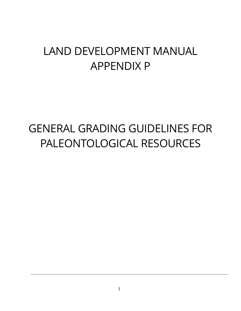# LAND DEVELOPMENT MANUAL APPENDIX P

# GENERAL GRADING GUIDELINES FOR PALEONTOLOGICAL RESOURCES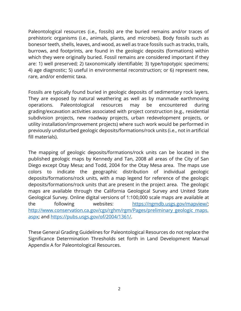Paleontological resources (i.e., fossils) are the buried remains and/or traces of prehistoric organisms (i.e., animals, plants, and microbes). Body fossils such as bonesor teeth, shells, leaves, and wood, as well as trace fossils such as tracks, trails, burrows, and footprints, are found in the geologic deposits (formations) within which they were originally buried. Fossil remains are considered important if they are: 1) well preserved; 2) taxonomically identifiable; 3) type/topotypic specimens; 4) age diagnostic; 5) useful in environmental reconstruction; or 6) represent new, rare, and/or endemic taxa.

Fossils are typically found buried in geologic deposits of sedimentary rock layers. They are exposed by natural weathering as well as by manmade earthmoving operations. Paleontological resources may be encountered during grading/excavation activities associated with project construction (e.g., residential subdivision projects, new roadway projects, urban redevelopment projects, or utility installation/improvement projects) where such work would be performed in previously undisturbed geologic deposits/formations/rock units (i.e., not in artificial fill materials).

The mapping of geologic deposits/formations/rock units can be located in the published geologic maps by Kennedy and Tan, 2008 all areas of the City of San Diego except Otay Mesa; and Todd, 2004 for the Otay Mesa area. The maps use colors to indicate the geographic distribution of individual geologic deposits/formations/rock units, with a map legend for reference of the geologic deposits/formations/rock units that are present in the project area. The geologic maps are available through the California Geological Survey and United State Geological Survey. Online digital versions of 1:100,000 scale maps are available at the following websites: [https://ngmdb.usgs.gov/mapview/;](https://ngmdb.usgs.gov/mapview/) [http://www.conservation.ca.gov/cgs/rghm/rgm/Pages/preliminary\\_geologic\\_maps.](http://www.conservation.ca.gov/cgs/rghm/rgm/Pages/preliminary_geologic_maps.aspx) [aspx;](http://www.conservation.ca.gov/cgs/rghm/rgm/Pages/preliminary_geologic_maps.aspx) and [https://pubs.usgs.gov/of/2004/1361/.](https://pubs.usgs.gov/of/2004/1361/)

These General Grading Guidelines for Paleontological Resources do not replace the Significance Determination Thresholds set forth in Land Development Manual Appendix A for Paleontological Resources.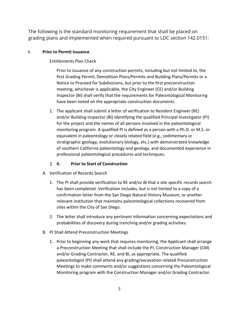The following is the standard monitoring requirement that shall be placed on grading plans and implemented when required pursuant to LDC section 142.0151:

### **I. Prior to Permit Issuance**

Entitlements Plan Check

Prior to issuance of any construction permits, including but not limited to, the first Grading Permit, Demolition Plans/Permits and Building Plans/Permits or a Notice to Proceed for Subdivisions, but prior to the first preconstruction meeting, whichever is applicable, the City Engineer (CE) and/or Building Inspector (BI) shall verify that the requirements for Paleontological Monitoring have been noted on the appropriate construction documents.

1. The applicant shall submit a letter of verification to Resident Engineer (RE) and/or Building Inspector (BI) identifying the qualified Principal Investigator (PI) for the project and the names of all persons involved in the paleontological monitoring program. A qualified PI is defined as a person with a Ph.D. or M.S. or equivalent in paleontology or closely related field (e.g., sedimentary or stratigraphic geology, evolutionary biology, etc.) with demonstrated knowledge of southern California paleontology and geology, and documented experience in professional paleontological procedures and techniques.

## 2. **II. Prior to Start of Construction**

- A. Verification of Records Search
	- 1. The PI shall provide verification to RE and/or BI that a site specific records search has been completed. Verification includes, but is not limited to a copy of a confirmation letter from the San Diego Natural History Museum, or another relevant institution that maintains paleontological collections recovered from sites within the City of San Diego.
	- 2. The letter shall introduce any pertinent information concerning expectations and probabilities of discovery during trenching and/or grading activities.
- B. PI Shall Attend Preconstruction Meetings
	- 1. Prior to beginning any work that requires monitoring, the Applicant shall arrange a Preconstruction Meeting that shall include the PI, Construction Manager (CM) and/or Grading Contractor, RE, and BI, as appropriate. The qualified paleontologist (PI) shall attend any grading/excavation related Preconstruction Meetings to make comments and/or suggestions concerning the Paleontological Monitoring program with the Construction Manager and/or Grading Contractor.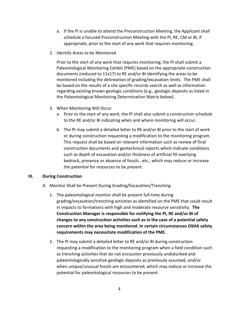- a. If the PI is unable to attend the Preconstruction Meeting, the Applicant shall schedule a focused Preconstruction Meeting with the PI, RE, CM or BI, if appropriate, prior to the start of any work that requires monitoring.
- 2. Identify Areas to be Monitored

Prior to the start of any work that requires monitoring, the PI shall submit a Paleontological Monitoring Exhibit (PME) based on the appropriate construction documents (reduced to 11x17) to RE and/or BI identifying the areas to be monitored including the delineation of grading/excavation limits. The PME shall be based on the results of a site specific records search as well as information regarding existing known geologic conditions (e.g., geologic deposits as listed in the Paleontological Monitoring Determination Matrix below).

- 3. When Monitoring Will Occur
	- a. Prior to the start of any work, the PI shall also submit a construction schedule to the RE and/or BI indicating when and where monitoring will occur.
	- b. The PI may submit a detailed letter to RE and/or BI prior to the start of work or during construction requesting a modification to the monitoring program. This request shall be based on relevant information such as review of final construction documents and geotechnical reports which indicate conditions such as depth of excavation and/or thickness of artificial fill overlying bedrock, presence or absence of fossils , etc., which may reduce or increase the potential for resources to be present.

#### **III. During Construction**

- A. Monitor Shall be Present During Grading/Excavation/Trenching
	- 1. The paleontological monitor shall be present full-time during grading/excavation/trenching activities as identified on the PME that could result in impacts to formations with high and moderate resource sensitivity. **The Construction Manager is responsible for notifying the PI, RE and/or BI of changes to any construction activities such as in the case of a potential safety concern within the area being monitored. In certain circumstances OSHA safety requirements may necessitate modification of the PME.**
	- 2. The PI may submit a detailed letter to RE and/or BI during construction requesting a modification to the monitoring program when a field condition such as trenching activities that do not encounter previously undisturbed and paleontologically sensitive geologic deposits as previously assumed, and/or when unique/unusual fossils are encountered, which may reduce or increase the potential for paleontological resources to be present.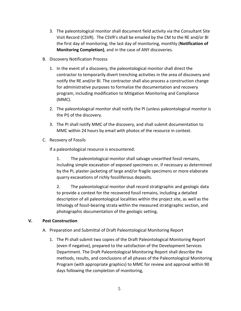- 3. The paleontological monitor shall document field activity via the Consultant Site Visit Record (CSVR). The CSVR's shall be emailed by the CM to the RE and/or BI the first day of monitoring, the last day of monitoring, monthly (**Notification of Monitoring Completion)**, and in the case of ANY discoveries.
- B. Discovery Notification Process
	- 1. In the event of a discovery, the paleontological monitor shall direct the contractor to temporarily divert trenching activities in the area of discovery and notify the RE and/or BI. The contractor shall also process a construction change for administrative purposes to formalize the documentation and recovery program, including modification to Mitigation Monitoring and Compliance (MMC).
	- 2. The paleontological monitor shall notify the PI (unless paleontological monitor is the PI) of the discovery.
	- 3. The PI shall notify MMC of the discovery, and shall submit documentation to MMC within 24 hours by email with photos of the resource in context.
- C. Recovery of Fossils

If a paleontological resource is encountered:

1. The paleontological monitor shall salvage unearthed fossil remains, including simple excavation of exposed specimens or, if necessary as determined by the PI, plaster-jacketing of large and/or fragile specimens or more elaborate quarry excavations of richly fossiliferous deposits.

2. The paleontological monitor shall record stratigraphic and geologic data to provide a context for the recovered fossil remains, including a detailed description of all paleontological localities within the project site, as well as the lithology of fossil-bearing strata within the measured stratigraphic section, and photographic documentation of the geologic setting.

### **V. Post Construction**

- A. Preparation and Submittal of Draft Paleontological Monitoring Report
	- 1. The PI shall submit two copies of the Draft Paleontological Monitoring Report (even if negative), prepared to the satisfaction of the Development Services Department. The Draft Paleontological Monitoring Report shall describe the methods, results, and conclusions of all phases of the Paleontological Monitoring Program (with appropriate graphics) to MMC for review and approval within 90 days following the completion of monitoring,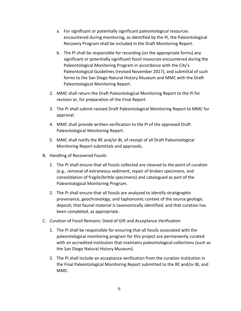- a. For significant or potentially significant paleontological resources encountered during monitoring, as identified by the PI, the Paleontological Recovery Program shall be included in the Draft Monitoring Report.
- b. The PI shall be responsible for recording (on the appropriate forms) any significant or potentially significant fossil resources encountered during the Paleontological Monitoring Program in accordance with the City's Paleontological Guidelines (revised November 2017), and submittal of such forms to the San Diego Natural History Museum and MMC with the Draft Paleontological Monitoring Report.
- 2. MMC shall return the Draft Paleontological Monitoring Report to the PI for revision or, for preparation of the Final Report.
- 3. The PI shall submit revised Draft Paleontological Monitoring Report to MMC for approval.
- 4. MMC shall provide written verification to the PI of the approved Draft Paleontological Monitoring Report.
- 5. MMC shall notify the RE and/or BI, of receipt of all Draft Paleontological Monitoring Report submittals and approvals.
- B. Handling of Recovered Fossils
	- 1. The PI shall ensure that all fossils collected are cleaned to the point of curation (e.g., removal of extraneous sediment, repair of broken specimens, and consolidation of fragile/brittle specimens) and catalogued as part of the Paleontological Monitoring Program.
	- 2. The PI shall ensure that all fossils are analyzed to identify stratigraphic provenance, geochronology, and taphonomic context of the source geologic deposit; that faunal material is taxonomically identified; and that curation has been completed, as appropriate.
- C. Curation of Fossil Remains: Deed of Gift and Acceptance Verification
	- 1. The PI shall be responsible for ensuring that all fossils associated with the paleontological monitoring program for this project are permanently curated with an accredited institution that maintains paleontological collections (such as the San Diego Natural History Museum).
	- 2. The PI shall include an acceptance verification from the curation institution in the Final Paleontological Monitoring Report submitted to the RE and/or BI, and MMC.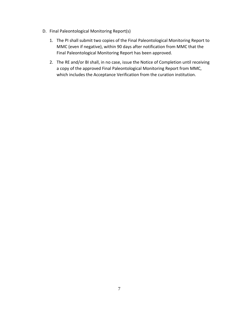- D. Final Paleontological Monitoring Report(s)
	- 1. The PI shall submit two copies of the Final Paleontological Monitoring Report to MMC (even if negative), within 90 days after notification from MMC that the Final Paleontological Monitoring Report has been approved.
	- 2. The RE and/or BI shall, in no case, issue the Notice of Completion until receiving a copy of the approved Final Paleontological Monitoring Report from MMC, which includes the Acceptance Verification from the curation institution.